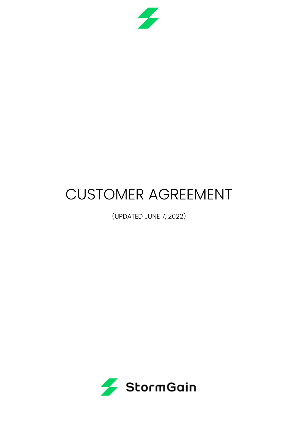

# CUSTOMER AGREEMENT

(UPDATED JUNE 7, 2022)

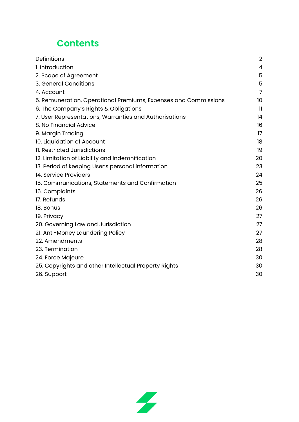# **Contents**

| Definitions                                                     | $\overline{2}$ |
|-----------------------------------------------------------------|----------------|
| 1. Introduction                                                 | $\overline{4}$ |
| 2. Scope of Agreement                                           | 5              |
| 3. General Conditions                                           | 5              |
| 4. Account                                                      | $\overline{7}$ |
| 5. Remuneration, Operational Premiums, Expenses and Commissions | 10             |
| 6. The Company's Rights & Obligations                           | $\mathbf{1}$   |
| 7. User Representations, Warranties and Authorisations          | 14             |
| 8. No Financial Advice                                          | 16             |
| 9. Margin Trading                                               | 17             |
| 10. Liquidation of Account                                      | 18             |
| 11. Restricted Jurisdictions                                    | 19             |
| 12. Limitation of Liability and Indemnification                 | 20             |
| 13. Period of keeping User's personal information               | 23             |
| 14. Service Providers                                           | 24             |
| 15. Communications, Statements and Confirmation                 | 25             |
| 16. Complaints                                                  | 26             |
| 17. Refunds                                                     | 26             |
| 18. Bonus                                                       | 26             |
| 19. Privacy                                                     | 27             |
| 20. Governing Law and Jurisdiction                              | 27             |
| 21. Anti-Money Laundering Policy                                | 27             |
| 22. Amendments                                                  | 28             |
| 23. Termination                                                 | 28             |
| 24. Force Majeure                                               | 30             |
| 25. Copyrights and other Intellectual Property Rights           | 30             |
| 26. Support                                                     | 30             |
|                                                                 |                |

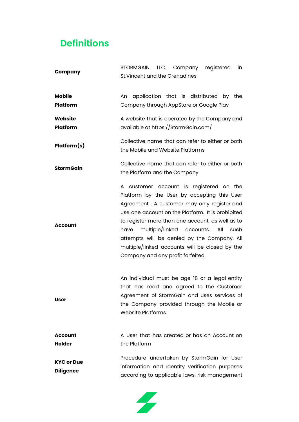# <span id="page-2-0"></span>**Definitions**

| <b>Company</b>                        | STORMGAIN LLC. Company registered<br>in<br>St. Vincent and the Grenadines                                                                                                                                                                                                                                                                                                                                                              |
|---------------------------------------|----------------------------------------------------------------------------------------------------------------------------------------------------------------------------------------------------------------------------------------------------------------------------------------------------------------------------------------------------------------------------------------------------------------------------------------|
| <b>Mobile</b><br>Platform             | application that is distributed by the<br>An<br>Company through AppStore or Google Play                                                                                                                                                                                                                                                                                                                                                |
| <b>Website</b><br>Platform            | A website that is operated by the Company and<br>available at https://StormGain.com/                                                                                                                                                                                                                                                                                                                                                   |
| Platform(s)                           | Collective name that can refer to either or both<br>the Mobile and Website Platforms                                                                                                                                                                                                                                                                                                                                                   |
| <b>StormGain</b>                      | Collective name that can refer to either or both<br>the Platform and the Company                                                                                                                                                                                                                                                                                                                                                       |
| <b>Account</b>                        | A customer account is registered on the<br>Platform by the User by accepting this User<br>Agreement . A customer may only register and<br>use one account on the Platform. It is prohibited<br>to register more than one account, as well as to<br>multiple/linked accounts. All<br>have<br>such<br>attempts will be denied by the Company. All<br>multiple/linked accounts will be closed by the<br>Company and any profit forfeited. |
| <b>User</b>                           | An individual must be age 18 or a legal entity<br>that has read and agreed to the Customer<br>Agreement of StormGain and uses services of<br>the Company provided through the Mobile or<br>Website Platforms.                                                                                                                                                                                                                          |
| <b>Account</b><br><b>Holder</b>       | A User that has created or has an Account on<br>the Platform                                                                                                                                                                                                                                                                                                                                                                           |
| <b>KYC or Due</b><br><b>Diligence</b> | Procedure undertaken by StormGain for User<br>information and identity verification purposes<br>according to applicable laws, risk management                                                                                                                                                                                                                                                                                          |

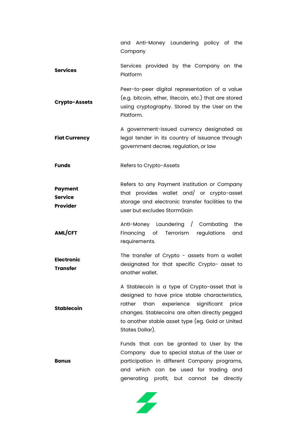|                                | and Anti-Money Laundering policy of the<br>Company                                                                                                                                                                                                                             |
|--------------------------------|--------------------------------------------------------------------------------------------------------------------------------------------------------------------------------------------------------------------------------------------------------------------------------|
| <b>Services</b>                | Services provided by the Company on the<br>Platform                                                                                                                                                                                                                            |
| <b>Crypto-Assets</b>           | Peer-to-peer digital representation of a value<br>(e.g. bitcoin, ether, litecoin, etc.) that are stored<br>using cryptography. Stored by the User on the<br>Platform.                                                                                                          |
| <b>Fiat Currency</b>           | A government-issued currency designated as<br>legal tender in its country of issuance through<br>government decree, regulation, or law                                                                                                                                         |
| Funds                          | Refers to Crypto-Assets                                                                                                                                                                                                                                                        |
| Payment<br>Service<br>Provider | Refers to any Payment institution or Company<br>that provides wallet and/ or crypto-asset<br>storage and electronic transfer facilities to the<br>user but excludes StormGain                                                                                                  |
| <b>AML/CFT</b>                 | Anti-Money Laundering / Combating<br>the<br>Financing of<br>Terrorism<br>regulations<br>and<br>requirements.                                                                                                                                                                   |
| <b>Electronic</b><br>Transfer  | The transfer of Crypto - assets from a wallet<br>designated for that specific Crypto- asset to<br>another wallet.                                                                                                                                                              |
| Stablecoin                     | A Stablecoin is a type of Crypto-asset that is<br>designed to have price stable characteristics,<br>rather<br>than experience<br>significant<br>price<br>changes. Stablecoins are often directly pegged<br>to another stable asset type (eg. Gold or United<br>States Dollar). |
| Bonus                          | Funds that can be granted to User by the<br>Company due to special status of the User or<br>participation in different Company programs,<br>and which can be used for trading and<br>generating profit, but cannot<br>be directly                                              |

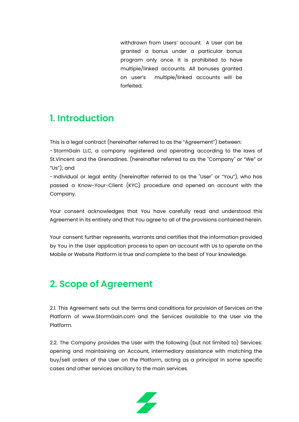withdrawn from Users' account. A User can be granted a bonus under a particular bonus program only once. It is prohibited to have multiple/linked accounts. All bonuses granted on user's multiple/linked accounts will be forfeited.

#### <span id="page-4-0"></span>**1. Introduction**

This is a legal contract (hereinafter referred to as the "Agreement") between:

- StormGain LLC, a company registered and operating according to the laws of St.Vincent and the Grenadines. (hereinafter referred to as the "Company" or "We" or "Us"); and

- Individual or legal entity (hereinafter referred to as the "User" or "You"), who has passed a Know-Your-Client (KYC) procedure and opened an account with the Company.

Your consent acknowledges that You have carefully read and understood this Agreement in its entirety and that You agree to all of the provisions contained herein.

Your consent further represents, warrants and certifies that the information provided by You in the User application process to open an account with Us to operate on the Mobile or Website Platform is true and complete to the best of Your knowledge.

# <span id="page-4-1"></span>**2. Scope of Agreement**

2.1. This Agreement sets out the terms and conditions for provision of Services on the Platform of www.StormGain.com and the Services available to the User via the Platform.

2.2. The Company provides the User with the following (but not limited to) Services: opening and maintaining an Account, intermediary assistance with matching the buy/sell orders of the User on the Platform, acting as a principal in some specific cases and other services ancillary to the main services.

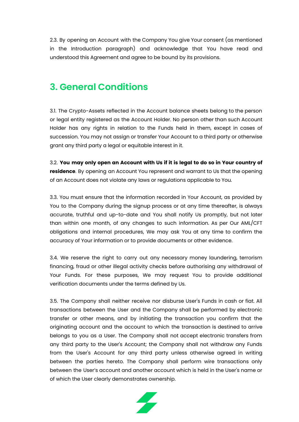2.3. By opening an Account with the Company You give Your consent (as mentioned in the Introduction paragraph) and acknowledge that You have read and understood this Agreement and agree to be bound by its provisions.

#### <span id="page-5-0"></span>**3. General Conditions**

3.1. The Crypto-Assets reflected in the Account balance sheets belong to the person or legal entity registered as the Account Holder. No person other than such Account Holder has any rights in relation to the Funds held in them, except in cases of succession. You may not assign or transfer Your Account to a third party or otherwise grant any third party a legal or equitable interest in it.

3.2. **You may only open an Account with Us if it is legal to do so in Your country of residence**. By opening an Account You represent and warrant to Us that the opening of an Account does not violate any laws or regulations applicable to You.

3.3. You must ensure that the information recorded in Your Account, as provided by You to the Company during the signup process or at any time thereafter, is always accurate, truthful and up-to-date and You shall notify Us promptly, but not later than within one month, of any changes to such information. As per Our AML/CFT obligations and internal procedures, We may ask You at any time to confirm the accuracy of Your information or to provide documents or other evidence.

3.4. We reserve the right to carry out any necessary money laundering, terrorism financing, fraud or other illegal activity checks before authorising any withdrawal of Your Funds. For these purposes, We may request You to provide additional verification documents under the terms defined by Us.

3.5. The Company shall neither receive nor disburse User's Funds in cash or fiat. All transactions between the User and the Company shall be performed by electronic transfer or other means, and by initiating the transaction you confirm that the originating account and the account to which the transaction is destined to arrive belongs to you as a User. The Company shall not accept electronic transfers from any third party to the User's Account; the Company shall not withdraw any Funds from the User's Account for any third party unless otherwise agreed in writing between the parties hereto. The Company shall perform wire transactions only between the User's account and another account which is held in the User's name or of which the User clearly demonstrates ownership.

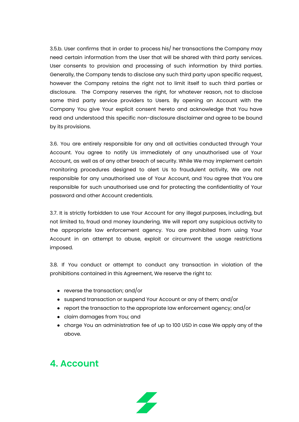3.5.b. User confirms that in order to process his/ her transactions the Company may need certain information from the User that will be shared with third party services. User consents to provision and processing of such information by third parties. Generally, the Company tends to disclose any such third party upon specific request, however the Company retains the right not to limit itself to such third parties or disclosure. The Company reserves the right, for whatever reason, not to disclose some third party service providers to Users. By opening an Account with the Company You give Your explicit consent hereto and acknowledge that You have read and understood this specific non-disclosure disclaimer and agree to be bound by its provisions.

3.6. You are entirely responsible for any and all activities conducted through Your Account. You agree to notify Us immediately of any unauthorised use of Your Account, as well as of any other breach of security. While We may implement certain monitoring procedures designed to alert Us to fraudulent activity, We are not responsible for any unauthorised use of Your Account, and You agree that You are responsible for such unauthorised use and for protecting the confidentiality of Your password and other Account credentials.

3.7. It is strictly forbidden to use Your Account for any illegal purposes, including, but not limited to, fraud and money laundering. We will report any suspicious activity to the appropriate law enforcement agency. You are prohibited from using Your Account in an attempt to abuse, exploit or circumvent the usage restrictions imposed.

3.8. If You conduct or attempt to conduct any transaction in violation of the prohibitions contained in this Agreement, We reserve the right to:

- reverse the transaction; and/or
- suspend transaction or suspend Your Account or any of them; and/or
- report the transaction to the appropriate law enforcement agency; and/or
- claim damages from You; and
- charge You an administration fee of up to 100 USD in case We apply any of the above.

#### <span id="page-6-0"></span>**4. Account**

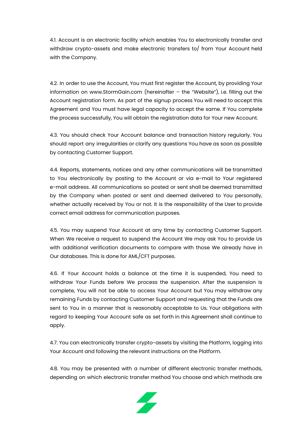4.1. Account is an electronic facility which enables You to electronically transfer and withdraw crypto-assets and make electronic transfers to/ from Your Account held with the Company.

4.2. In order to use the Account, You must first register the Account, by providing Your information on www.StormGain.com (hereinafter – the "Website"), i.e. filling out the Account registration form. As part of the signup process You will need to accept this Agreement and You must have legal capacity to accept the same. If You complete the process successfully, You will obtain the registration data for Your new Account.

4.3. You should check Your Account balance and transaction history regularly. You should report any irregularities or clarify any questions You have as soon as possible by contacting Customer Support.

4.4. Reports, statements, notices and any other communications will be transmitted to You electronically by posting to the Account or via e-mail to Your registered e-mail address. All communications so posted or sent shall be deemed transmitted by the Company when posted or sent and deemed delivered to You personally, whether actually received by You or not. It is the responsibility of the User to provide correct email address for communication purposes.

4.5. You may suspend Your Account at any time by contacting Customer Support. When We receive a request to suspend the Account We may ask You to provide Us with additional verification documents to compare with those We already have in Our databases. This is done for AML/CFT purposes.

4.6. If Your Account holds a balance at the time it is suspended, You need to withdraw Your Funds before We process the suspension. After the suspension is complete, You will not be able to access Your Account but You may withdraw any remaining Funds by contacting Customer Support and requesting that the Funds are sent to You in a manner that is reasonably acceptable to Us. Your obligations with regard to keeping Your Account safe as set forth in this Agreement shall continue to apply.

4.7. You can electronically transfer crypto-assets by visiting the Platform, logging into Your Account and following the relevant instructions on the Platform.

4.8. You may be presented with a number of different electronic transfer methods, depending on which electronic transfer method You choose and which methods are

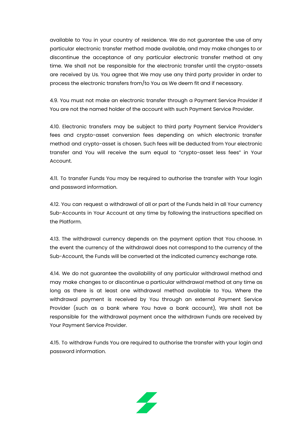available to You in your country of residence. We do not guarantee the use of any particular electronic transfer method made available, and may make changes to or discontinue the acceptance of any particular electronic transfer method at any time. We shall not be responsible for the electronic transfer until the crypto-assets are received by Us. You agree that We may use any third party provider in order to process the electronic transfers from/to You as We deem fit and if necessary.

4.9. You must not make an electronic transfer through a Payment Service Provider if You are not the named holder of the account with such Payment Service Provider.

4.10. Electronic transfers may be subject to third party Payment Service Provider's fees and crypto-asset conversion fees depending on which electronic transfer method and crypto-asset is chosen. Such fees will be deducted from Your electronic transfer and You will receive the sum equal to "crypto-asset less fees" in Your Account.

4.11. To transfer Funds You may be required to authorise the transfer with Your login and password information.

4.12. You can request a withdrawal of all or part of the Funds held in all Your currency Sub-Accounts in Your Account at any time by following the instructions specified on the Platform.

4.13. The withdrawal currency depends on the payment option that You choose. In the event the currency of the withdrawal does not correspond to the currency of the Sub-Account, the Funds will be converted at the indicated currency exchange rate.

4.14. We do not guarantee the availability of any particular withdrawal method and may make changes to or discontinue a particular withdrawal method at any time as long as there is at least one withdrawal method available to You. Where the withdrawal payment is received by You through an external Payment Service Provider (such as a bank where You have a bank account), We shall not be responsible for the withdrawal payment once the withdrawn Funds are received by Your Payment Service Provider.

4.15. To withdraw Funds You are required to authorise the transfer with your login and password information.

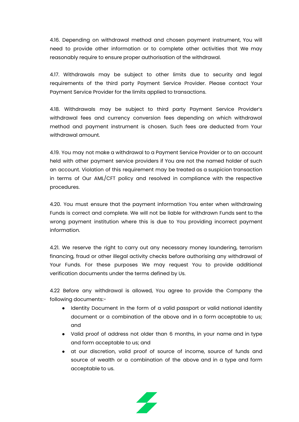4.16. Depending on withdrawal method and chosen payment instrument, You will need to provide other information or to complete other activities that We may reasonably require to ensure proper authorisation of the withdrawal.

4.17. Withdrawals may be subject to other limits due to security and legal requirements of the third party Payment Service Provider. Please contact Your Payment Service Provider for the limits applied to transactions.

4.18. Withdrawals may be subject to third party Payment Service Provider's withdrawal fees and currency conversion fees depending on which withdrawal method and payment instrument is chosen. Such fees are deducted from Your withdrawal amount.

4.19. You may not make a withdrawal to a Payment Service Provider or to an account held with other payment service providers if You are not the named holder of such an account. Violation of this requirement may be treated as a suspicion transaction in terms of Our AML/CFT policy and resolved in compliance with the respective procedures.

4.20. You must ensure that the payment information You enter when withdrawing Funds is correct and complete. We will not be liable for withdrawn Funds sent to the wrong payment institution where this is due to You providing incorrect payment information.

4.21. We reserve the right to carry out any necessary money laundering, terrorism financing, fraud or other illegal activity checks before authorising any withdrawal of Your Funds. For these purposes We may request You to provide additional verification documents under the terms defined by Us.

4.22 Before any withdrawal is allowed, You agree to provide the Company the following documents:-

- Identity Document in the form of a valid passport or valid national identity document or a combination of the above and in a form acceptable to us; and
- Valid proof of address not older than 6 months, in your name and in type and form acceptable to us; and
- at our discretion, valid proof of source of income, source of funds and source of wealth or a combination of the above and in a type and form acceptable to us.

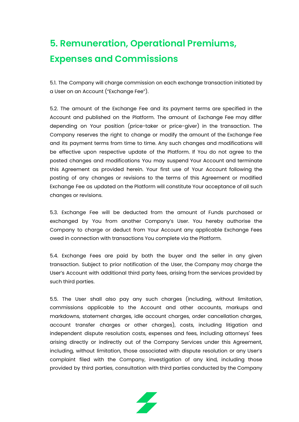# <span id="page-10-0"></span>**5. Remuneration, Operational Premiums, Expenses and Commissions**

5.1. The Company will charge commission on each exchange transaction initiated by a User on an Account ("Exchange Fee").

5.2. The amount of the Exchange Fee and its payment terms are specified in the Account and published on the Platform. The amount of Exchange Fee may differ depending on Your position (price-taker or price-giver) in the transaction. The Company reserves the right to change or modify the amount of the Exchange Fee and its payment terms from time to time. Any such changes and modifications will be effective upon respective update of the Platform. If You do not agree to the posted changes and modifications You may suspend Your Account and terminate this Agreement as provided herein. Your first use of Your Account following the posting of any changes or revisions to the terms of this Agreement or modified Exchange Fee as updated on the Platform will constitute Your acceptance of all such changes or revisions.

5.3. Exchange Fee will be deducted from the amount of Funds purchased or exchanged by You from another Company's User. You hereby authorise the Company to charge or deduct from Your Account any applicable Exchange Fees owed in connection with transactions You complete via the Platform.

5.4. Exchange Fees are paid by both the buyer and the seller in any given transaction. Subject to prior notification of the User, the Company may charge the User's Account with additional third party fees, arising from the services provided by such third parties.

5.5. The User shall also pay any such charges (including, without limitation, commissions applicable to the Account and other accounts, markups and markdowns, statement charges, idle account charges, order cancellation charges, account transfer charges or other charges), costs, including litigation and independent dispute resolution costs, expenses and fees, including attorneys' fees arising directly or indirectly out of the Company Services under this Agreement, including, without limitation, those associated with dispute resolution or any User's complaint filed with the Company, investigation of any kind, including those provided by third parties, consultation with third parties conducted by the Company

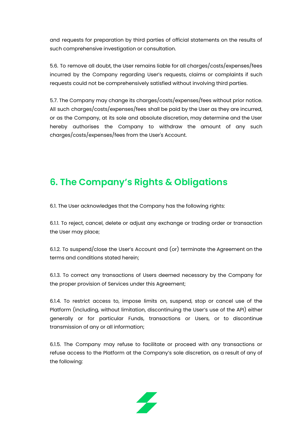and requests for preparation by third parties of official statements on the results of such comprehensive investigation or consultation.

5.6. To remove all doubt, the User remains liable for all charges/costs/expenses/fees incurred by the Company regarding User's requests, claims or complaints if such requests could not be comprehensively satisfied without involving third parties.

5.7. The Company may change its charges/costs/expenses/fees without prior notice. All such charges/costs/expenses/fees shall be paid by the User as they are incurred, or as the Company, at its sole and absolute discretion, may determine and the User hereby authorises the Company to withdraw the amount of any such charges/costs/expenses/fees from the User's Account.

# <span id="page-11-0"></span>**6. The Company's Rights & Obligations**

6.1. The User acknowledges that the Company has the following rights:

6.1.1. To reject, cancel, delete or adjust any exchange or trading order or transaction the User may place;

6.1.2. To suspend/close the User's Account and (or) terminate the Agreement on the terms and conditions stated herein;

6.1.3. To correct any transactions of Users deemed necessary by the Company for the proper provision of Services under this Agreement;

6.1.4. To restrict access to, impose limits on, suspend, stop or cancel use of the Platform (including, without limitation, discontinuing the User's use of the API) either generally or for particular Funds, transactions or Users, or to discontinue transmission of any or all information;

6.1.5. The Company may refuse to facilitate or proceed with any transactions or refuse access to the Platform at the Company's sole discretion, as a result of any of the following:

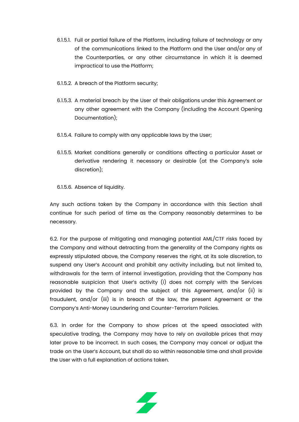- 6.1.5.1. Full or partial failure of the Platform, including failure of technology or any of the communications linked to the Platform and the User and/or any of the Counterparties, or any other circumstance in which it is deemed impractical to use the Platform;
- 6.1.5.2. A breach of the Platform security;
- 6.1.5.3. A material breach by the User of their obligations under this Agreement or any other agreement with the Company (including the Account Opening Documentation);
- 6.1.5.4. Failure to comply with any applicable laws by the User;
- 6.1.5.5. Market conditions generally or conditions affecting a particular Asset or derivative rendering it necessary or desirable (at the Company's sole discretion);

6.1.5.6. Absence of liquidity.

Any such actions taken by the Company in accordance with this Section shall continue for such period of time as the Company reasonably determines to be necessary.

6.2. For the purpose of mitigating and managing potential AML/CTF risks faced by the Company and without detracting from the generality of the Company rights as expressly stipulated above, the Company reserves the right, at its sole discretion, to suspend any User's Account and prohibit any activity including, but not limited to, withdrawals for the term of internal investigation, providing that the Company has reasonable suspicion that User's activity (i) does not comply with the Services provided by the Company and the subject of this Agreement, and/or (ii) is fraudulent, and/or (iii) is in breach of the law, the present Agreement or the Company's Anti-Money Laundering and Counter-Terrorism Policies.

6.3. In order for the Company to show prices at the speed associated with speculative trading, the Company may have to rely on available prices that may later prove to be incorrect. In such cases, the Company may cancel or adjust the trade on the User's Account, but shall do so within reasonable time and shall provide the User with a full explanation of actions taken.

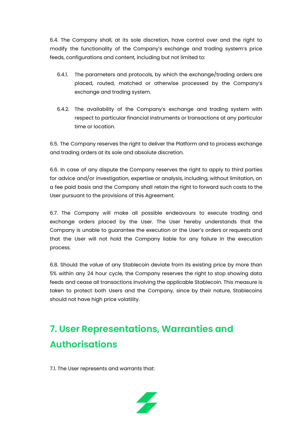6.4. The Company shall, at its sole discretion, have control over and the right to modify the functionality of the Company's exchange and trading system's price feeds, configurations and content, including but not limited to:

- 6.4.1. The parameters and protocols, by which the exchange/trading orders are placed, routed, matched or otherwise processed by the Company's exchange and trading system.
- 6.4.2. The availability of the Company's exchange and trading system with respect to particular financial instruments or transactions at any particular time or location.

6.5. The Company reserves the right to deliver the Platform and to process exchange and trading orders at its sole and absolute discretion.

6.6. In case of any dispute the Company reserves the right to apply to third parties for advice and/or investigation, expertise or analysis, including, without limitation, on a fee paid basis and the Company shall retain the right to forward such costs to the User pursuant to the provisions of this Agreement.

6.7. The Company will make all possible endeavours to execute trading and exchange orders placed by the User. The User hereby understands that the Company is unable to guarantee the execution or the User's orders or requests and that the User will not hold the Company liable for any failure in the execution process.

6.8. Should the value of any Stablecoin deviate from its existing price by more than 5% within any 24 hour cycle, the Company reserves the right to stop showing data feeds and cease all transactions involving the applicable Stablecoin. This measure is taken to protect both Users and the Company, since by their nature, Stablecoins should not have high price volatility.

# <span id="page-13-0"></span>**7. User Representations, Warranties and Authorisations**

7.1. The User represents and warrants that:

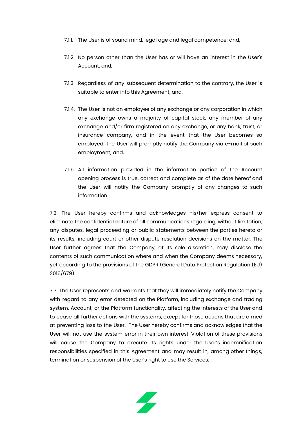- 7.1.1. The User is of sound mind, legal age and legal competence; and,
- 7.1.2. No person other than the User has or will have an interest in the User's Account, and,
- 7.1.3. Regardless of any subsequent determination to the contrary, the User is suitable to enter into this Agreement, and,
- 7.1.4. The User is not an employee of any exchange or any corporation in which any exchange owns a majority of capital stock, any member of any exchange and/or firm registered on any exchange, or any bank, trust, or insurance company, and in the event that the User becomes so employed, the User will promptly notify the Company via e-mail of such employment; and,
- 7.1.5. All information provided in the information portion of the Account opening process is true, correct and complete as of the date hereof and the User will notify the Company promptly of any changes to such information.

7.2. The User hereby confirms and acknowledges his/her express consent to eliminate the confidential nature of all communications regarding, without limitation, any disputes, legal proceeding or public statements between the parties hereto or its results, including court or other dispute resolution decisions on the matter. The User further agrees that the Company, at its sole discretion, may disclose the contents of such communication where and when the Company deems necessary, yet according to the provisions of the GDPR (General Data Protection Regulation (EU) 2016/679).

7.3. The User represents and warrants that they will immediately notify the Company with regard to any error detected on the Platform, including exchange and trading system, Account, or the Platform functionality, affecting the interests of the User and to cease all further actions with the systems, except for those actions that are aimed at preventing loss to the User. The User hereby confirms and acknowledges that the User will not use the system error in their own interest. Violation of these provisions will cause the Company to execute its rights under the User's indemnification responsibilities specified in this Agreement and may result in, among other things, termination or suspension of the User's right to use the Services.

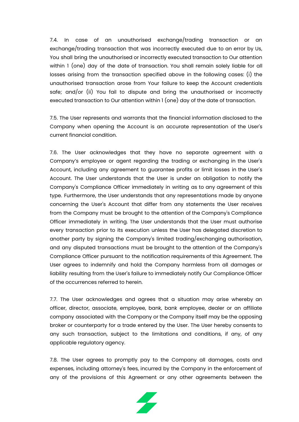7.4. In case of an unauthorised exchange/trading transaction or an exchange/trading transaction that was incorrectly executed due to an error by Us, You shall bring the unauthorised or incorrectly executed transaction to Our attention within 1 (one) day of the date of transaction. You shall remain solely liable for all losses arising from the transaction specified above in the following cases: (i) the unauthorised transaction arose from Your failure to keep the Account credentials safe; and/or (ii) You fail to dispute and bring the unauthorised or incorrectly executed transaction to Our attention within 1 (one) day of the date of transaction.

7.5. The User represents and warrants that the financial information disclosed to the Company when opening the Account is an accurate representation of the User's current financial condition.

7.6. The User acknowledges that they have no separate agreement with a Company's employee or agent regarding the trading or exchanging in the User's Account, including any agreement to guarantee profits or limit losses in the User's Account. The User understands that the User is under an obligation to notify the Company's Compliance Officer immediately in writing as to any agreement of this type. Furthermore, the User understands that any representations made by anyone concerning the User's Account that differ from any statements the User receives from the Company must be brought to the attention of the Company's Compliance Officer immediately in writing. The User understands that the User must authorise every transaction prior to its execution unless the User has delegated discretion to another party by signing the Company's limited trading/exchanging authorisation, and any disputed transactions must be brought to the attention of the Company's Compliance Officer pursuant to the notification requirements of this Agreement. The User agrees to indemnify and hold the Company harmless from all damages or liability resulting from the User's failure to immediately notify Our Compliance Officer of the occurrences referred to herein.

7.7. The User acknowledges and agrees that a situation may arise whereby an officer, director, associate, employee, bank, bank employee, dealer or an affiliate company associated with the Company or the Company itself may be the opposing broker or counterparty for a trade entered by the User. The User hereby consents to any such transaction, subject to the limitations and conditions, if any, of any applicable regulatory agency.

7.8. The User agrees to promptly pay to the Company all damages, costs and expenses, including attorney's fees, incurred by the Company in the enforcement of any of the provisions of this Agreement or any other agreements between the

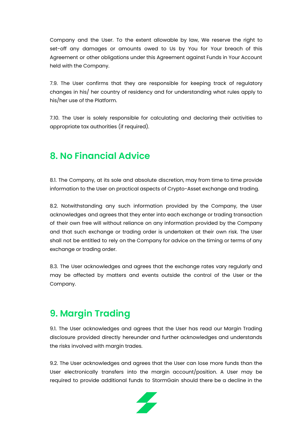Company and the User. To the extent allowable by law, We reserve the right to set-off any damages or amounts owed to Us by You for Your breach of this Agreement or other obligations under this Agreement against Funds in Your Account held with the Company.

7.9. The User confirms that they are responsible for keeping track of regulatory changes in his/ her country of residency and for understanding what rules apply to his/her use of the Platform.

7.10. The User is solely responsible for calculating and declaring their activities to appropriate tax authorities (if required).

# <span id="page-16-0"></span>**8. No Financial Advice**

8.1. The Company, at its sole and absolute discretion, may from time to time provide information to the User on practical aspects of Crypto-Asset exchange and trading.

8.2. Notwithstanding any such information provided by the Company, the User acknowledges and agrees that they enter into each exchange or trading transaction of their own free will without reliance on any information provided by the Company and that such exchange or trading order is undertaken at their own risk. The User shall not be entitled to rely on the Company for advice on the timing or terms of any exchange or trading order.

8.3. The User acknowledges and agrees that the exchange rates vary regularly and may be affected by matters and events outside the control of the User or the Company.

# <span id="page-16-1"></span>**9. Margin Trading**

9.1. The User acknowledges and agrees that the User has read our Margin Trading disclosure provided directly hereunder and further acknowledges and understands the risks involved with margin trades.

9.2. The User acknowledges and agrees that the User can lose more funds than the User electronically transfers into the margin account/position. A User may be required to provide additional funds to StormGain should there be a decline in the

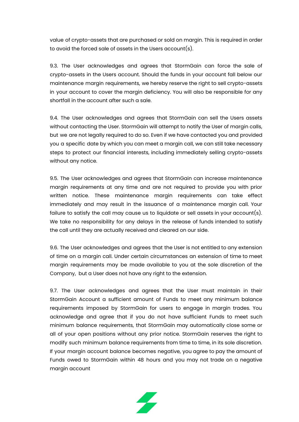value of crypto-assets that are purchased or sold on margin. This is required in order to avoid the forced sale of assets in the Users account(s).

9.3. The User acknowledges and agrees that StormGain can force the sale of crypto-assets in the Users account. Should the funds in your account fall below our maintenance margin requirements, we hereby reserve the right to sell crypto-assets in your account to cover the margin deficiency. You will also be responsible for any shortfall in the account after such a sale.

9.4. The User acknowledges and agrees that StormGain can sell the Users assets without contacting the User. StormGain will attempt to notify the User of margin calls, but we are not legally required to do so. Even if we have contacted you and provided you a specific date by which you can meet a margin call, we can still take necessary steps to protect our financial interests, including immediately selling crypto-assets without any notice.

9.5. The User acknowledges and agrees that StormGain can increase maintenance margin requirements at any time and are not required to provide you with prior written notice. These maintenance margin requirements can take effect immediately and may result in the issuance of a maintenance margin call. Your failure to satisfy the call may cause us to liquidate or sell assets in your account(s). We take no responsibility for any delays in the release of funds intended to satisfy the call until they are actually received and cleared on our side.

9.6. The User acknowledges and agrees that the User is not entitled to any extension of time on a margin call. Under certain circumstances an extension of time to meet margin requirements may be made available to you at the sole discretion of the Company, but a User does not have any right to the extension.

9.7. The User acknowledges and agrees that the User must maintain in their StormGain Account a sufficient amount of Funds to meet any minimum balance requirements imposed by StormGain for users to engage in margin trades. You acknowledge and agree that if you do not have sufficient Funds to meet such minimum balance requirements, that StormGain may automatically close some or all of your open positions without any prior notice. StormGain reserves the right to modify such minimum balance requirements from time to time, in its sole discretion. If your margin account balance becomes negative, you agree to pay the amount of Funds owed to StormGain within 48 hours and you may not trade on a negative margin account

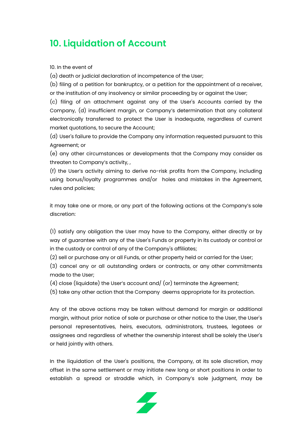# <span id="page-18-0"></span>**10. Liquidation of Account**

10. In the event of

(a) death or judicial declaration of incompetence of the User;

(b) filing of a petition for bankruptcy, or a petition for the appointment of a receiver, or the institution of any insolvency or similar proceeding by or against the User;

(c) filing of an attachment against any of the User's Accounts carried by the Company, (d) insufficient margin, or Company's determination that any collateral electronically transferred to protect the User is inadequate, regardless of current market quotations, to secure the Account;

(d) User's failure to provide the Company any information requested pursuant to this Agreement; or

(e) any other circumstances or developments that the Company may consider as threaten to Company's activity, ,

(f) the User's activity aiming to derive no-risk profits from the Company, including using bonus/loyalty programmes and/or holes and mistakes in the Agreement, rules and policies;

it may take one or more, or any part of the following actions at the Company's sole discretion:

(1) satisfy any obligation the User may have to the Company, either directly or by way of guarantee with any of the User's Funds or property in its custody or control or in the custody or control of any of the Company's affiliates;

(2) sell or purchase any or all Funds, or other property held or carried for the User;

(3) cancel any or all outstanding orders or contracts, or any other commitments made to the User;

(4) close (liquidate) the User's account and/ (or) terminate the Agreement;

(5) take any other action that the Company deems appropriate for its protection.

Any of the above actions may be taken without demand for margin or additional margin, without prior notice of sale or purchase or other notice to the User, the User's personal representatives, heirs, executors, administrators, trustees, legatees or assignees and regardless of whether the ownership interest shall be solely the User's or held jointly with others.

In the liquidation of the User's positions, the Company, at its sole discretion, may offset in the same settlement or may initiate new long or short positions in order to establish a spread or straddle which, in Company's sole judgment, may be

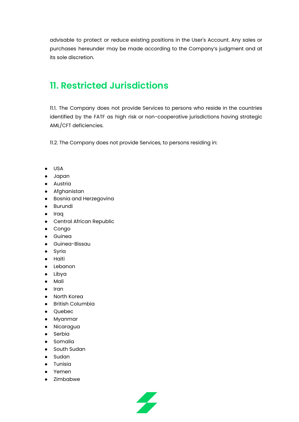advisable to protect or reduce existing positions in the User's Account. Any sales or purchases hereunder may be made according to the Company's judgment and at its sole discretion.

### <span id="page-19-0"></span>**11. Restricted Jurisdictions**

11.1. The Company does not provide Services to persons who reside in the countries identified by the FATF as high risk or non-cooperative jurisdictions having strategic AML/CFT deficiencies.

11.2. The Company does not provide Services, to persons residing in:

- USA
- Japan
- Austria
- Afghanistan
- Bosnia and Herzegovina
- Burundi
- Iraq
- Central African Republic
- Congo
- Guinea
- Guinea-Bissau
- Syria
- Haiti
- Lebanon
- Libya
- Mali
- Iran
- North Korea
- British Columbia
- Quebec
- Myanmar
- Nicaragua
- Serbia
- Somalia
- South Sudan
- Sudan
- Tunisia
- Yemen
- Zimbabwe

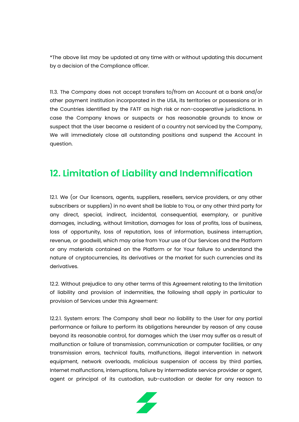\*The above list may be updated at any time with or without updating this document by a decision of the Compliance officer.

11.3. The Company does not accept transfers to/from an Account at a bank and/or other payment institution incorporated in the USA, its territories or possessions or in the Countries identified by the FATF as high risk or non-cooperative jurisdictions. In case the Company knows or suspects or has reasonable grounds to know or suspect that the User became a resident of a country not serviced by the Company, We will immediately close all outstanding positions and suspend the Account in question.

### <span id="page-20-0"></span>**12. Limitation of Liability and Indemnification**

12.1. We (or Our licensors, agents, suppliers, resellers, service providers, or any other subscribers or suppliers) in no event shall be liable to You, or any other third party for any direct, special, indirect, incidental, consequential, exemplary, or punitive damages, including, without limitation, damages for loss of profits, loss of business, loss of opportunity, loss of reputation, loss of information, business interruption, revenue, or goodwill, which may arise from Your use of Our Services and the Platform or any materials contained on the Platform or for Your failure to understand the nature of cryptocurrencies, its derivatives or the market for such currencies and its derivatives.

12.2. Without prejudice to any other terms of this Agreement relating to the limitation of liability and provision of indemnities, the following shall apply in particular to provision of Services under this Agreement:

12.2.1. System errors: The Company shall bear no liability to the User for any partial performance or failure to perform its obligations hereunder by reason of any cause beyond its reasonable control, for damages which the User may suffer as a result of malfunction or failure of transmission, communication or computer facilities, or any transmission errors, technical faults, malfunctions, illegal intervention in network equipment, network overloads, malicious suspension of access by third parties, Internet malfunctions, interruptions, failure by intermediate service provider or agent, agent or principal of its custodian, sub-custodian or dealer for any reason to

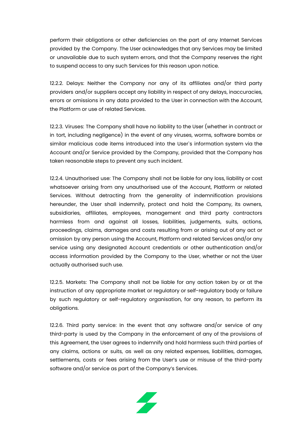perform their obligations or other deficiencies on the part of any Internet Services provided by the Company. The User acknowledges that any Services may be limited or unavailable due to such system errors, and that the Company reserves the right to suspend access to any such Services for this reason upon notice.

12.2.2. Delays: Neither the Company nor any of its affiliates and/or third party providers and/or suppliers accept any liability in respect of any delays, inaccuracies, errors or omissions in any data provided to the User in connection with the Account, the Platform or use of related Services.

12.2.3. Viruses: The Company shall have no liability to the User (whether in contract or in tort, including negligence) in the event of any viruses, worms, software bombs or similar malicious code items introduced into the User`s information system via the Account and/or Service provided by the Company, provided that the Company has taken reasonable steps to prevent any such incident.

12.2.4. Unauthorised use: The Company shall not be liable for any loss, liability or cost whatsoever arising from any unauthorised use of the Account, Platform or related Services. Without detracting from the generality of indemnification provisions hereunder, the User shall indemnify, protect and hold the Company, its owners, subsidiaries, affiliates, employees, management and third party contractors harmless from and against all losses, liabilities, judgements, suits, actions, proceedings, claims, damages and costs resulting from or arising out of any act or omission by any person using the Account, Platform and related Services and/or any service using any designated Account credentials or other authentication and/or access information provided by the Company to the User, whether or not the User actually authorised such use.

12.2.5. Markets: The Company shall not be liable for any action taken by or at the instruction of any appropriate market or regulatory or self-regulatory body or failure by such regulatory or self-regulatory organisation, for any reason, to perform its obligations.

12.2.6. Third party service: In the event that any software and/or service of any third-party is used by the Company in the enforcement of any of the provisions of this Agreement, the User agrees to indemnify and hold harmless such third parties of any claims, actions or suits, as well as any related expenses, liabilities, damages, settlements, costs or fees arising from the User's use or misuse of the third-party software and/or service as part of the Company's Services.

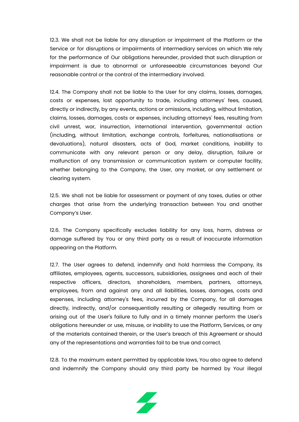12.3. We shall not be liable for any disruption or impairment of the Platform or the Service or for disruptions or impairments of intermediary services on which We rely for the performance of Our obligations hereunder, provided that such disruption or impairment is due to abnormal or unforeseeable circumstances beyond Our reasonable control or the control of the intermediary involved.

12.4. The Company shall not be liable to the User for any claims, losses, damages, costs or expenses, lost opportunity to trade, including attorneys' fees, caused, directly or indirectly, by any events, actions or omissions, including, without limitation, claims, losses, damages, costs or expenses, including attorneys' fees, resulting from civil unrest, war, insurrection, international intervention, governmental action (including, without limitation, exchange controls, forfeitures, nationalisations or devaluations), natural disasters, acts of God, market conditions, inability to communicate with any relevant person or any delay, disruption, failure or malfunction of any transmission or communication system or computer facility, whether belonging to the Company, the User, any market, or any settlement or clearing system.

12.5. We shall not be liable for assessment or payment of any taxes, duties or other charges that arise from the underlying transaction between You and another Company's User.

12.6. The Company specifically excludes liability for any loss, harm, distress or damage suffered by You or any third party as a result of inaccurate information appearing on the Platform.

12.7. The User agrees to defend, indemnify and hold harmless the Company, its affiliates, employees, agents, successors, subsidiaries, assignees and each of their respective officers, directors, shareholders, members, partners, attorneys, employees, from and against any and all liabilities, losses, damages, costs and expenses, including attorney's fees, incurred by the Company, for all damages directly, indirectly, and/or consequentially resulting or allegedly resulting from or arising out of the User's failure to fully and in a timely manner perform the User's obligations hereunder or use, misuse, or inability to use the Platform, Services, or any of the materials contained therein, or the User's breach of this Agreement or should any of the representations and warranties fail to be true and correct.

12.8. To the maximum extent permitted by applicable laws, You also agree to defend and indemnify the Company should any third party be harmed by Your illegal

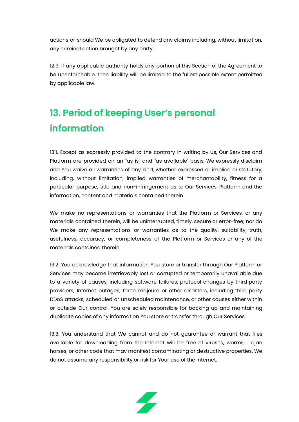actions or should We be obligated to defend any claims including, without limitation, any criminal action brought by any party.

12.9. If any applicable authority holds any portion of this Section of the Agreement to be unenforceable, then liability will be limited to the fullest possible extent permitted by applicable law.

# <span id="page-23-0"></span>**13. Period of keeping User's personal information**

13.1. Except as expressly provided to the contrary in writing by Us, Our Services and Platform are provided on an "as is" and "as available" basis. We expressly disclaim and You waive all warranties of any kind, whether expressed or implied or statutory, including, without limitation, implied warranties of merchantability, fitness for a particular purpose, title and non-infringement as to Our Services, Platform and the information, content and materials contained therein.

We make no representations or warranties that the Platform or Services, or any materials contained therein, will be uninterrupted, timely, secure or error-free; nor do We make any representations or warranties as to the quality, suitability, truth, usefulness, accuracy, or completeness of the Platform or Services or any of the materials contained therein.

13.2. You acknowledge that information You store or transfer through Our Platform or Services may become irretrievably lost or corrupted or temporarily unavailable due to a variety of causes, including software failures, protocol changes by third party providers, Internet outages, force majeure or other disasters, including third party DDoS attacks, scheduled or unscheduled maintenance, or other causes either within or outside Our control. You are solely responsible for backing up and maintaining duplicate copies of any information You store or transfer through Our Services.

13.3. You understand that We cannot and do not guarantee or warrant that files available for downloading from the Internet will be free of viruses, worms, Trojan horses, or other code that may manifest contaminating or destructive properties. We do not assume any responsibility or risk for Your use of the Internet.

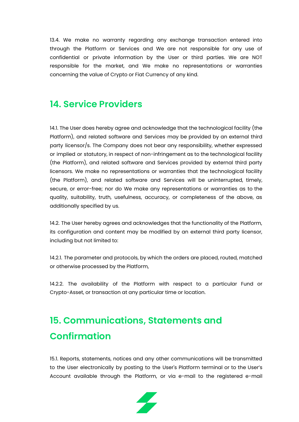13.4. We make no warranty regarding any exchange transaction entered into through the Platform or Services and We are not responsible for any use of confidential or private information by the User or third parties. We are NOT responsible for the market, and We make no representations or warranties concerning the value of Crypto or Fiat Currency of any kind.

### <span id="page-24-0"></span>**14. Service Providers**

14.1. The User does hereby agree and acknowledge that the technological facility (the Platform), and related software and Services may be provided by an external third party licensor/s. The Company does not bear any responsibility, whether expressed or implied or statutory, in respect of non-infringement as to the technological facility (the Platform), and related software and Services provided by external third party licensors. We make no representations or warranties that the technological facility (the Platform), and related software and Services will be uninterrupted, timely, secure, or error-free; nor do We make any representations or warranties as to the quality, suitability, truth, usefulness, accuracy, or completeness of the above, as additionally specified by us.

14.2. The User hereby agrees and acknowledges that the functionality of the Platform, its configuration and content may be modified by an external third party licensor, including but not limited to:

14.2.1. The parameter and protocols, by which the orders are placed, routed, matched or otherwise processed by the Platform,

14.2.2. The availability of the Platform with respect to a particular Fund or Crypto-Asset, or transaction at any particular time or location.

# <span id="page-24-1"></span>**15. Communications, Statements and Confirmation**

15.1. Reports, statements, notices and any other communications will be transmitted to the User electronically by posting to the User's Platform terminal or to the User's Account available through the Platform, or via e-mail to the registered e-mail

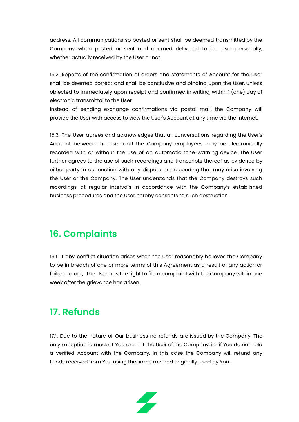address. All communications so posted or sent shall be deemed transmitted by the Company when posted or sent and deemed delivered to the User personally, whether actually received by the User or not.

15.2. Reports of the confirmation of orders and statements of Account for the User shall be deemed correct and shall be conclusive and binding upon the User, unless objected to immediately upon receipt and confirmed in writing, within 1 (one) day of electronic transmittal to the User.

Instead of sending exchange confirmations via postal mail, the Company will provide the User with access to view the User's Account at any time via the Internet.

15.3. The User agrees and acknowledges that all conversations regarding the User's Account between the User and the Company employees may be electronically recorded with or without the use of an automatic tone-warning device. The User further agrees to the use of such recordings and transcripts thereof as evidence by either party in connection with any dispute or proceeding that may arise involving the User or the Company. The User understands that the Company destroys such recordings at regular intervals in accordance with the Company's established business procedures and the User hereby consents to such destruction.

### <span id="page-25-0"></span>**16. Complaints**

16.1. If any conflict situation arises when the User reasonably believes the Company to be in breach of one or more terms of this Agreement as a result of any action or failure to act, the User has the right to file a complaint with the Company within one week after the grievance has arisen.

### <span id="page-25-1"></span>**17. Refunds**

17.1. Due to the nature of Our business no refunds are issued by the Company. The only exception is made if You are not the User of the Company, i.e. if You do not hold a verified Account with the Company. In this case the Company will refund any Funds received from You using the same method originally used by You.

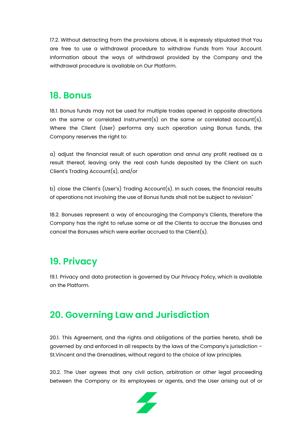17.2. Without detracting from the provisions above, it is expressly stipulated that You are free to use a withdrawal procedure to withdraw Funds from Your Account. Information about the ways of withdrawal provided by the Company and the withdrawal procedure is available on Our Platform.

#### <span id="page-26-0"></span>**18. Bonus**

18.1. Bonus funds may not be used for multiple trades opened in opposite directions on the same or correlated Instrument(s) on the same or correlated account(s). Where the Client (User) performs any such operation using Bonus funds, the Company reserves the right to:

a) adjust the financial result of such operation and annul any profit realised as a result thereof, leaving only the real cash funds deposited by the Client on such Client's Trading Account(s), and/or

b) close the Client's (User's) Trading Account(s). In such cases, the financial results of operations not involving the use of Bonus funds shall not be subject to revision"

18.2. Bonuses represent a way of encouraging the Company's Clients, therefore the Company has the right to refuse some or all the Clients to accrue the Bonuses and cancel the Bonuses which were earlier accrued to the Client(s).

### <span id="page-26-1"></span>**19. Privacy**

19.1. Privacy and data protection is governed by Our Privacy Policy, which is available on the Platform.

# <span id="page-26-2"></span>**20. Governing Law and Jurisdiction**

20.1. This Agreement, and the rights and obligations of the parties hereto, shall be governed by and enforced in all respects by the laws of the Company's jurisdiction – St.Vincent and the Grenadines, without regard to the choice of law principles.

20.2. The User agrees that any civil action, arbitration or other legal proceeding between the Company or its employees or agents, and the User arising out of or

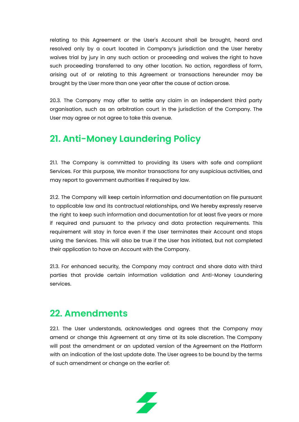relating to this Agreement or the User's Account shall be brought, heard and resolved only by a court located in Company's jurisdiction and the User hereby waives trial by jury in any such action or proceeding and waives the right to have such proceeding transferred to any other location. No action, regardless of form, arising out of or relating to this Agreement or transactions hereunder may be brought by the User more than one year after the cause of action arose.

20.3. The Company may offer to settle any claim in an independent third party organisation, such as an arbitration court in the jurisdiction of the Company. The User may agree or not agree to take this avenue.

### <span id="page-27-0"></span>**21. Anti-Money Laundering Policy**

21.1. The Company is committed to providing its Users with safe and compliant Services. For this purpose, We monitor transactions for any suspicious activities, and may report to government authorities if required by law.

21.2. The Company will keep certain information and documentation on file pursuant to applicable law and its contractual relationships, and We hereby expressly reserve the right to keep such information and documentation for at least five years or more if required and pursuant to the privacy and data protection requirements. This requirement will stay in force even if the User terminates their Account and stops using the Services. This will also be true if the User has initiated, but not completed their application to have an Account with the Company.

21.3. For enhanced security, the Company may contract and share data with third parties that provide certain information validation and Anti-Money Laundering services.

### <span id="page-27-1"></span>**22. Amendments**

22.1. The User understands, acknowledges and agrees that the Company may amend or change this Agreement at any time at its sole discretion. The Company will post the amendment or an updated version of the Agreement on the Platform with an indication of the last update date. The User agrees to be bound by the terms of such amendment or change on the earlier of:

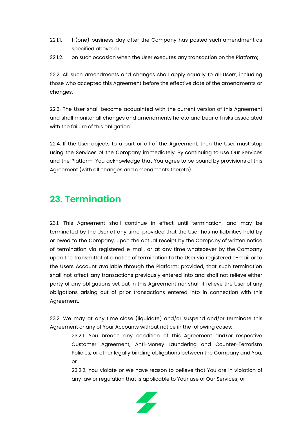- 22.1.1. 1 (one) business day after the Company has posted such amendment as specified above; or
- 22.1.2. on such occasion when the User executes any transaction on the Platform;

22.2. All such amendments and changes shall apply equally to all Users, including those who accepted this Agreement before the effective date of the amendments or changes.

22.3. The User shall become acquainted with the current version of this Agreement and shall monitor all changes and amendments hereto and bear all risks associated with the failure of this obligation.

22.4. If the User objects to a part or all of the Agreement, then the User must stop using the Services of the Company immediately. By continuing to use Our Services and the Platform, You acknowledge that You agree to be bound by provisions of this Agreement (with all changes and amendments thereto).

### <span id="page-28-0"></span>**23. Termination**

23.1. This Agreement shall continue in effect until termination, and may be terminated by the User at any time, provided that the User has no liabilities held by or owed to the Company, upon the actual receipt by the Company of written notice of termination via registered e-mail, or at any time whatsoever by the Company upon the transmittal of a notice of termination to the User via registered e-mail or to the Users Account available through the Platform; provided, that such termination shall not affect any transactions previously entered into and shall not relieve either party of any obligations set out in this Agreement nor shall it relieve the User of any obligations arising out of prior transactions entered into in connection with this Agreement.

23.2. We may at any time close (liquidate) and/or suspend and/or terminate this Agreement or any of Your Accounts without notice in the following cases:

23.2.1. You breach any condition of this Agreement and/or respective Customer Agreement, Anti-Money Laundering and Counter-Terrorism Policies, or other legally binding obligations between the Company and You; or

23.2.2. You violate or We have reason to believe that You are in violation of any law or regulation that is applicable to Your use of Our Services; or

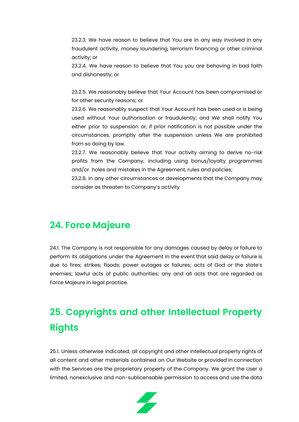23.2.3. We have reason to believe that You are in any way involved in any fraudulent activity, money laundering, terrorism financing or other criminal activity; or

23.2.4. We have reason to believe that You you are behaving in bad faith and dishonestly; or

23.2.5. We reasonably believe that Your Account has been compromised or for other security reasons; or

23.2.6. We reasonably suspect that Your Account has been used or is being used without Your authorisation or fraudulently; and We shall notify You either prior to suspension or, if prior notification is not possible under the circumstances, promptly after the suspension unless We are prohibited from so doing by law.

23.2.7. We reasonably believe that Your activity aiming to derive no-risk profits from the Company, including using bonus/loyalty programmes and/or holes and mistakes in the Agreement, rules and policies;

23.2.8. In any other circumstances or developments that the Company may consider as threaten to Company's activity

#### <span id="page-29-0"></span>**24. Force Majeure**

24.1. The Company is not responsible for any damages caused by delay or failure to perform its obligations under the Agreement in the event that said delay or failure is due to fires; strikes; floods; power outages or failures; acts of God or the state's enemies; lawful acts of public authorities; any and all acts that are regarded as Force Majeure in legal practice.

# <span id="page-29-1"></span>**25. Copyrights and other Intellectual Property Rights**

25.1. Unless otherwise indicated, all copyright and other intellectual property rights of all content and other materials contained on Our Website or provided in connection with the Services are the proprietary property of the Company. We grant the User a limited, nonexclusive and non-sublicensable permission to access and use the data